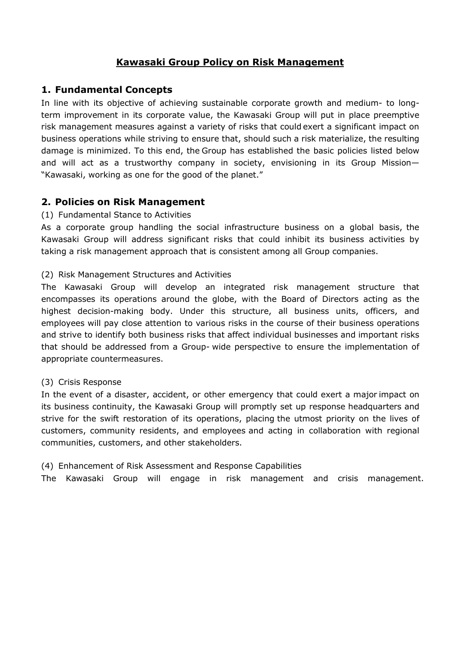# **Kawasaki Group Policy on Risk Management**

## **1. Fundamental Concepts**

In line with its objective of achieving sustainable corporate growth and medium- to longterm improvement in its corporate value, the Kawasaki Group will put in place preemptive risk management measures against a variety of risks that could exert a significant impact on business operations while striving to ensure that, should such a risk materialize, the resulting damage is minimized. To this end, the Group has established the basic policies listed below and will act as a trustworthy company in society, envisioning in its Group Mission— "Kawasaki, working as one for the good of the planet."

### **2. Policies on Risk Management**

#### (1) Fundamental Stance to Activities

As a corporate group handling the social infrastructure business on a global basis, the Kawasaki Group will address significant risks that could inhibit its business activities by taking a risk management approach that is consistent among all Group companies.

#### (2) Risk Management Structures and Activities

The Kawasaki Group will develop an integrated risk management structure that encompasses its operations around the globe, with the Board of Directors acting as the highest decision-making body. Under this structure, all business units, officers, and employees will pay close attention to various risks in the course of their business operations and strive to identify both business risks that affect individual businesses and important risks that should be addressed from a Group- wide perspective to ensure the implementation of appropriate countermeasures.

#### (3) Crisis Response

In the event of a disaster, accident, or other emergency that could exert a major impact on its business continuity, the Kawasaki Group will promptly set up response headquarters and strive for the swift restoration of its operations, placing the utmost priority on the lives of customers, community residents, and employees and acting in collaboration with regional communities, customers, and other stakeholders.

#### (4) Enhancement of Risk Assessment and Response Capabilities

The Kawasaki Group will engage in risk management and crisis management.